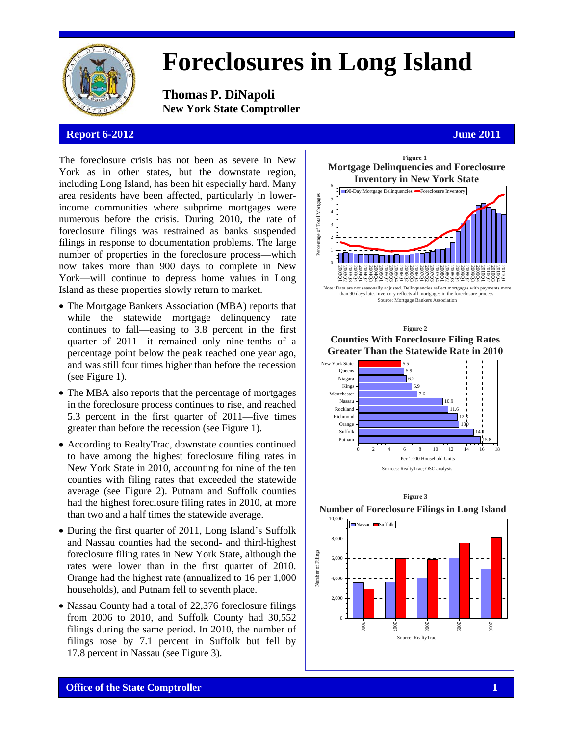

# **Foreclosures in Long Island**

**Thomas P. DiNapoli New York State Comptroller** 

## **Report 6-2012 June 2011**

The foreclosure crisis has not been as severe in New York as in other states, but the downstate region, including Long Island, has been hit especially hard. Many area residents have been affected, particularly in lowerincome communities where subprime mortgages were numerous before the crisis. During 2010, the rate of foreclosure filings was restrained as banks suspended filings in response to documentation problems. The large number of properties in the foreclosure process—which now takes more than 900 days to complete in New York—will continue to depress home values in Long Island as these properties slowly return to market.

- The Mortgage Bankers Association (MBA) reports that while the statewide mortgage delinquency rate continues to fall—easing to 3.8 percent in the first quarter of 2011—it remained only nine-tenths of a percentage point below the peak reached one year ago, and was still four times higher than before the recession (see Figure 1).
- The MBA also reports that the percentage of mortgages in the foreclosure process continues to rise, and reached 5.3 percent in the first quarter of 2011—five times greater than before the recession (see Figure 1).
- According to RealtyTrac, downstate counties continued to have among the highest foreclosure filing rates in New York State in 2010, accounting for nine of the ten counties with filing rates that exceeded the statewide average (see Figure 2). Putnam and Suffolk counties had the highest foreclosure filing rates in 2010, at more than two and a half times the statewide average.
- During the first quarter of 2011, Long Island's Suffolk and Nassau counties had the second- and third-highest foreclosure filing rates in New York State, although the rates were lower than in the first quarter of 2010. Orange had the highest rate (annualized to 16 per 1,000 households), and Putnam fell to seventh place.
- Nassau County had a total of 22,376 foreclosure filings from 2006 to 2010, and Suffolk County had 30,552 filings during the same period. In 2010, the number of filings rose by 7.1 percent in Suffolk but fell by 17.8 percent in Nassau (see Figure 3).

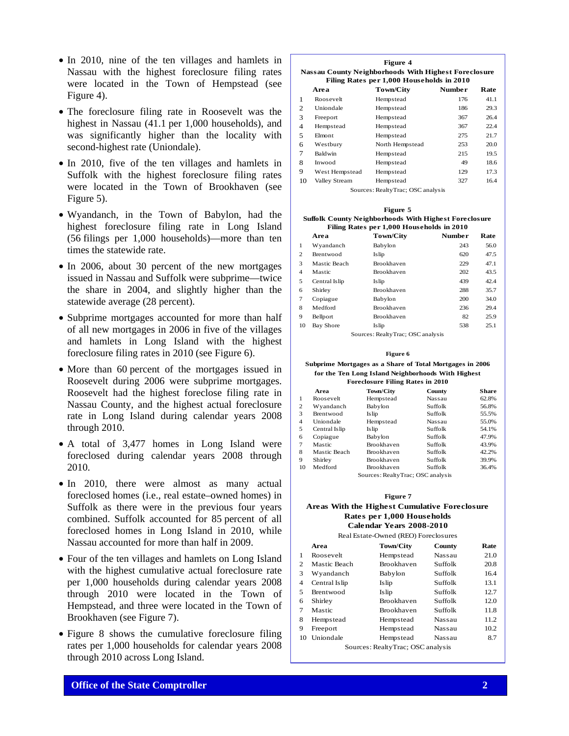- In 2010, nine of the ten villages and hamlets in Nassau with the highest foreclosure filing rates were located in the Town of Hempstead (see Figure 4).
- The foreclosure filing rate in Roosevelt was the highest in Nassau (41.1 per 1,000 households), and was significantly higher than the locality with second-highest rate (Uniondale).
- In 2010, five of the ten villages and hamlets in Suffolk with the highest foreclosure filing rates were located in the Town of Brookhaven (see Figure 5).
- Wyandanch, in the Town of Babylon, had the highest foreclosure filing rate in Long Island (56 filings per 1,000 households)—more than ten times the statewide rate.
- In 2006, about 30 percent of the new mortgages issued in Nassau and Suffolk were subprime—twice the share in 2004, and slightly higher than the statewide average (28 percent).
- Subprime mortgages accounted for more than half of all new mortgages in 2006 in five of the villages and hamlets in Long Island with the highest foreclosure filing rates in 2010 (see Figure 6).
- More than 60 percent of the mortgages issued in Roosevelt during 2006 were subprime mortgages. Roosevelt had the highest foreclose filing rate in Nassau County, and the highest actual foreclosure rate in Long Island during calendar years 2008 through 2010.
- A total of 3,477 homes in Long Island were foreclosed during calendar years 2008 through 2010.
- In 2010, there were almost as many actual foreclosed homes (i.e., real estate–owned homes) in Suffolk as there were in the previous four years combined. Suffolk accounted for 85 percent of all foreclosed homes in Long Island in 2010, while Nassau accounted for more than half in 2009.
- Four of the ten villages and hamlets on Long Island with the highest cumulative actual foreclosure rate per 1,000 households during calendar years 2008 through 2010 were located in the Town of Hempstead, and three were located in the Town of Brookhaven (see Figure 7).
- Figure 8 shows the cumulative foreclosure filing rates per 1,000 households for calendar years 2008 through 2010 across Long Island.

**Area Town/City Number Rate** 1 Roosevelt Hempstead 176 41.1 2 Uniondale Hempstead 186 29.3 3 Freeport Hempstead 367 26.4 4 Hempstead Hempstead 367 22.4 5 Elmont Hempstead 275 21.7 6 Westbury North Hempstead 253 20.0 7 Baldwin Hempstead 215 19.5 8 Inwood Hempstead 9 West Hempstead Hempstead 129 17.3 10 Valley Stream Hempstead 327 16.4 **Figure 4 Nassau County Neighborhoods With Highest Foreclosure Filing Rates per 1,000 Households in 2010** Sources: RealtyTrac; OSC analysis

|--|--|

### **Suffolk County Neighborhoods With Highest Foreclosure Filing Rates per 1,000 Households in 2010**

|                                   | Area             | <b>Town/City</b>  | <b>Number</b> | Rate |
|-----------------------------------|------------------|-------------------|---------------|------|
| $\mathbf{1}$                      | Wyandanch        | Babylon           | 243           | 56.0 |
| 2                                 | <b>Brentwood</b> | <b>Is</b> lip     | 620           | 47.5 |
| 3                                 | Mastic Beach     | <b>Brookhaven</b> | 229           | 47.1 |
| 4                                 | Mastic           | Brookhaven        | 202           | 43.5 |
| 5                                 | Central Islip    | <b>Is</b> lip     | 439           | 42.4 |
| 6                                 | Shirley          | <b>Brookhaven</b> | 288           | 35.7 |
| 7                                 | Copiague         | Babylon           | 200           | 34.0 |
| 8                                 | Medford          | <b>Brookhaven</b> | 236           | 29.4 |
| 9                                 | Bellport         | <b>Brookhaven</b> | 82            | 25.9 |
| 10                                | <b>Bay Shore</b> | <b>Is</b> lip     | 538           | 25.1 |
| Sources: RealtyTrac; OSC analysis |                  |                   |               |      |

#### **Figure 6**

#### **Subprime Mortgages as a Share of Total Mortgages in 2006 for the Ten Long Island Neighborhoods With Highest Foreclosure Filing Rates in 2010**

| Foreclosure Finng Rates in 2010 |               |                                   |         |              |  |
|---------------------------------|---------------|-----------------------------------|---------|--------------|--|
|                                 | Area          | Town/City                         | County  | <b>Share</b> |  |
| 1                               | Roosevelt     | Hempstead                         | Nassau  | 62.8%        |  |
| 2                               | Wyandanch     | Babylon                           | Suffolk | 56.8%        |  |
| 3                               | Brentwood     | Is lip                            | Suffolk | 55.5%        |  |
| 4                               | Uniondale     | Hempstead                         | Nassau  | 55.0%        |  |
| 5                               | Central Islip | Is lip                            | Suffolk | 54.1%        |  |
| 6                               | Copiague      | Babylon                           | Suffolk | 47.9%        |  |
| 7                               | Mastic        | Brookhaven                        | Suffolk | 43.9%        |  |
| 8                               | Mastic Beach  | Brookhaven                        | Suffolk | 42.2%        |  |
| 9                               | Shirley       | Brookhaven                        | Suffolk | 39.9%        |  |
| 10                              | Medford       | Brookhaven                        | Suffolk | 36.4%        |  |
|                                 |               | Sources: RealtyTrac; OSC analysis |         |              |  |

### **Areas With the Highest Cumulative Foreclosure Rates per 1,000 Households Figure 7 Calendar Years 2008-2010**

Real Estate-Owned (REO) Foreclosures

|    | Area                              | <b>Town/City</b> | <b>County</b> | Rate |  |  |
|----|-----------------------------------|------------------|---------------|------|--|--|
| 1  | Roosevelt                         | Hempstead        | Nassau        | 21.0 |  |  |
| 2  | Mastic Beach                      | Brookhaven       | Suffolk       | 20.8 |  |  |
| 3  | Wyandanch                         | Babylon          | Suffolk       | 16.4 |  |  |
| 4  | Central Islip                     | <b>Islip</b>     | Suffolk       | 13.1 |  |  |
| 5  | Brentwood                         | <b>Islip</b>     | Suffolk       | 12.7 |  |  |
| 6  | Shirley                           | Brookhaven       | Suffolk       | 12.0 |  |  |
| 7  | Mastic                            | Brookhaven       | Suffolk       | 11.8 |  |  |
| 8  | Hempstead                         | Hempstead        | Nassau        | 11.2 |  |  |
| 9  | Freeport                          | Hempstead        | Nassau        | 10.2 |  |  |
| 10 | Uniondale                         | Hempstead        | Nassau        | 8.7  |  |  |
|    | Sources: RealtyTrac: OSC analysis |                  |               |      |  |  |

Sources: Realty Frac; OSC analysis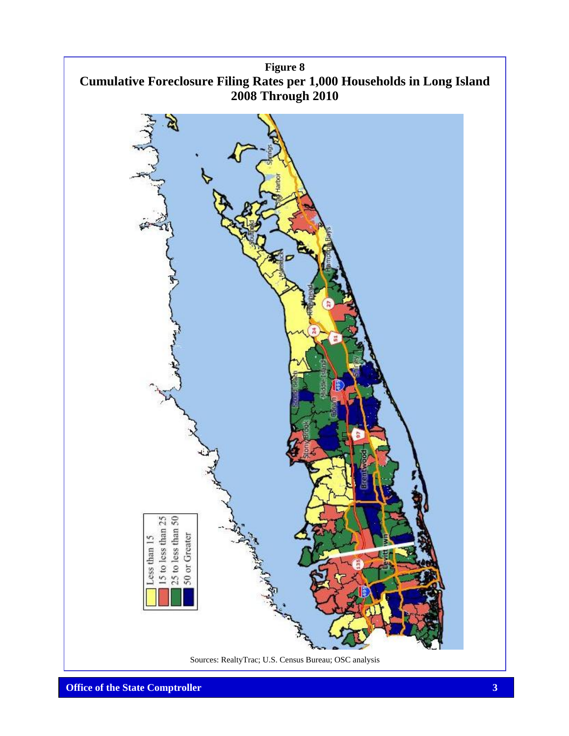